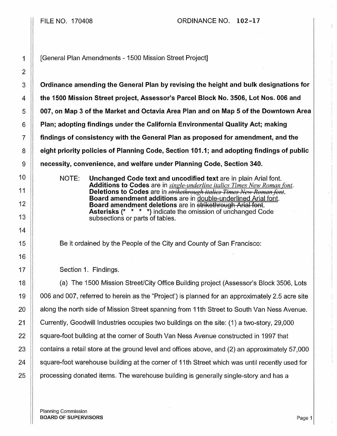## FILE NO. 170408 ORDINANCE NO. 102-17

1 [General Plan Amendments - 1500 Mission Street Project]

 $3 \parallel$  Ordinance amending the General Plan by revising the height and bulk designations for **the 1500 Mission Street project, Assessor's Parcel Block No. 3506, Lot Nos. 006 and 6 1007, on Map 3 of the Market and Octavia** Area Plan and on Map 5 of the Downtown Area **Plan; adopting findings under the California Environmental Quality Act; making** 7 findings of consistency with the General Plan as proposed for amendment, and the **eight priority policies of Planning Code, Section 101.1; and adopting findings of public Number** 1 accessity, convenience, and welfare under Planning Code, Section 340.

> NOTE: Unchanged Code text and uncodified text are in plain Arial font. Additions to Codes are in *single-underline italics Times New Roman font.*  Deletions to Codes are in *strikethrough italics Times New Roman font.* Board amendment additions are in double-underlined Arial font. Board amendment deletions are in strikethrough Arial font. Asterisks (\* \* \* \*) indicate the omission of unchanged Code subsections or parts of tables.

Be it ordained by the People of the City and County of San Francisco:

17 | Section 1. Findings.

18 **(a)** The 1500 Mission Street/City Office Building project (Assessor's Block 3506, Lots 19 006 and 007, referred to herein as the "Project') is planned for an approximately 2.5 acre site 20 | along the north side of Mission Street spanning from 11th Street to South Van Ness Avenue. 21 Currently, Goodwill Industries occupies two buildings on the site: (1) a two-story, 29,000 22 Square-foot building at the corner of South Van Ness Avenue constructed in 1997 that 23  $\parallel$  contains a retail store at the ground level and offices above, and (2) an approximately 57,000  $24$   $\parallel$  square-foot warehouse building at the corner of 11th Street which was until recently used for  $25$   $\parallel$  processing donated items. The warehouse building is generally single-story and has a

Planning Commission BOARD OF SUPERVISORS **Page 1**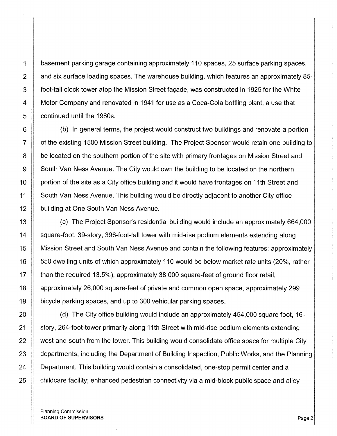1 basement parking garage containing approximately 110 spaces, 25 surface parking spaces, 2 and six surface loading spaces. The warehouse building, which features an approximately 85-3 foot-tall clock tower atop the Mission Street fagade, was constructed in 1925 for the White 4 **Motor Company and renovated in 1941 for use as a Coca-Cola bottling plant, a use that** 5 **continued until the 1980s.** 

6 **(b)** In general terms, the project would construct two buildings and renovate a portion 7 | of the existing 1500 Mission Street building. The Project Sponsor would retain one building to 8 **be located on the southern portion of the site with primary frontages on Mission Street and** 9 South Van Ness Avenue. The City would own the building to be located on the northern 10 **Frantigolar in Strand** in ortion of the site as a City office building and it would have frontages on 11th Street and 11 | South Van Ness Avenue. This building would be directly adjacent to another City office 12 **building at One South Van Ness Avenue.** 

13 (c) The Project Sponsor's residential building would include an approximately 664,000 14 | square-foot, 39-story, 396-foot-tall tower with mid-rise podium elements extending along 15 Mission Street and South Van Ness Avenue and contain the following features: approximately 16 | 550 dwelling units of which approximately 110 would be below market rate units (20%, rather 17  $\parallel$  than the required 13.5%), approximately 38,000 square-feet of ground floor retail, 18 approximately 26,000 square-feet of private and common open space, approximately 299 19 bicycle parking spaces, and up to 300 vehicular parking spaces.

20 (d) The City office building would include an approximately 454,000 square foot, 16- 21 Story, 264-foot-tower primarily along 11th Street with mid-rise podium elements extending 22 | west and south from the tower. This building would consolidate office space for multiple City 23 | departments, including the Department of Building Inspection, Public Works, and the Planning 24 **Department.** This building would contain a consolidated, one-stop permit center and a  $25$   $\parallel$  childcare facility; enhanced pedestrian connectivity via a mid-block public space and alley

Planning Commission BOARD OF SUPERVISORS **Page 2**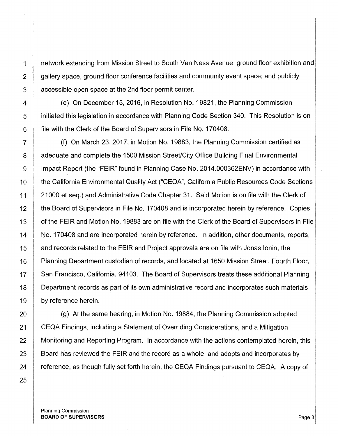1 network extending from Mission Street to South Van Ness Avenue; ground floor exhibition and 2  $\parallel$  gallery space, ground floor conference facilities and community event space; and publicly 3 **a** ccessible open space at the 2nd floor permit center.

4 (e) On December 15, 2016, in Resolution No. 19821, the Planning Commission 5 **initiated this legislation in accordance with Planning Code Section 340. This Resolution is on** 6 **fillum** file with the Clerk of the Board of Supervisors in File No. 170408.

7 (f) On March 23, 2017, in Motion No. 19883, the Planning Commission certified as 8 | adequate and complete the 1500 Mission Street/City Office Building Final Environmental 9 | Impact Report (the "FEIR" found in Planning Case No. 2014.000362ENV) in accordance with 10 the California Environmental Quality Act ("CEQA", California Public Resources Code Sections 11 || 21000 et seq.) and Administrative Code Chapter 31. Said Motion is on file with the Clerk of 12 **the Board of Supervisors in File No. 170408** and is incorporated herein by reference. Copies 13 | of the FEIR and Motion No. 19883 are on file with the Clerk of the Board of Supervisors in File 14 | No. 170408 and are incorporated herein by reference. In addition, other documents, reports, 15 **Audio 15** and records related to the FEIR and Project approvals are on file with Jonas lonin, the 16 | Planning Department custodian of records, and located at 1650 Mission Street, Fourth Floor, 17 | San Francisco, California, 94103. The Board of Supervisors treats these additional Planning 18 Department records as part of its own administrative record and incorporates such materials 19 **by reference herein.** 

**(g)** At the same hearing, in Motion No. 19884, the Planning Commission adopted **CEQA Findings, including a Statement of Overriding Considerations, and a Mitigation** 22 | Monitoring and Reporting Program. In accordance with the actions contemplated herein, this  $\parallel$  Board has reviewed the FEIR and the record as a whole, and adopts and incorporates by  $\parallel$  reference, as though fully set forth herein, the CEQA Findings pursuant to CEQA. A copy of

Planning Commission BOARD OF SUPERVISORS **Page 3**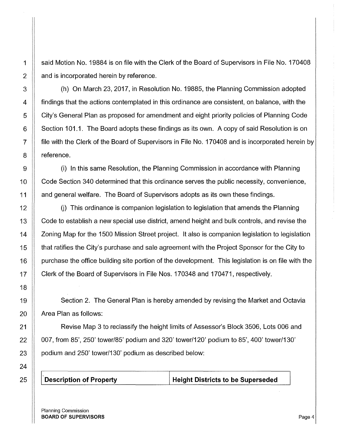1 | said Motion No. 19884 is on file with the Clerk of the Board of Supervisors in File No. 170408  $2 \parallel$  and is incorporated herein by reference.

3 (h) On March 23, 2017, in Resolution No. 19885, the Planning Commission adopted  $4$  | findings that the actions contemplated in this ordinance are consistent, on balance, with the 5 City's General Plan as proposed for amendment and eight priority policies of Planning Code 6 Section 101.1. The Board adopts these findings as its own. A copy of said Resolution is on 7 file with the Clerk of the Board of Supervisors in File No. 170408 and is incorporated herein by 8 | reference.

9 (i) In this same Resolution, the Planning Commission in accordance with Planning 10 | Code Section 340 determined that this ordinance serves the public necessity, convenience, 11 | and general welfare. The Board of Supervisors adopts as its own these findings.

 $12$   $\parallel$  (i) This ordinance is companion legislation to legislation that amends the Planning 13  $\parallel$  Code to establish a new special use district, amend height and bulk controls, and revise the 14 | Zoning Map for the 1500 Mission Street project. It also is companion legislation to legislation 15 that ratifies the City's purchase and sale agreement with the Project Sponsor for the City to 16 | purchase the office building site portion of the development. This legislation is on file with the 17 | Clerk of the Board of Supervisors in File Nos. 170348 and 170471, respectively.

19 Section 2. The General Plan is hereby amended by revising the Market and Octavia  $20$  | Area Plan as follows:

21 **Revise Map 3 to reclassify the height limits of Assessor's Block 3506, Lots 006 and** 22 007, from 85', 250' tower/85' podium and 320' tower/120' podium to 85', 400' tower/130'  $23$  | podium and 250' tower/130' podium as described below:

25 **Description of Property** 

**Height Districts to be Superseded** 

Planning Commission BOARD OF SUPERVISORS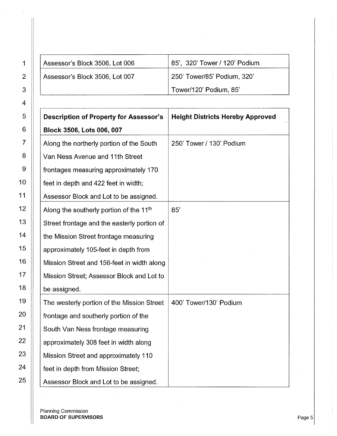| Assessor's Block 3506, Lot 006 | 85', 320' Tower / 120' Podium |
|--------------------------------|-------------------------------|
| Assessor's Block 3506, Lot 007 | 250' Tower/85' Podium, 320'   |
|                                | Tower/120' Podium, 85'        |

| <b>Description of Property for Assessor's</b>       | <b>Height Districts Hereby Approved</b> |
|-----------------------------------------------------|-----------------------------------------|
| Block 3506, Lots 006, 007                           |                                         |
| Along the northerly portion of the South            | 250' Tower / 130' Podium                |
| Van Ness Avenue and 11th Street                     |                                         |
| frontages measuring approximately 170               |                                         |
| feet in depth and 422 feet in width;                |                                         |
| Assessor Block and Lot to be assigned.              |                                         |
| Along the southerly portion of the 11 <sup>th</sup> | 85'                                     |
| Street frontage and the easterly portion of         |                                         |
| the Mission Street frontage measuring               |                                         |
| approximately 105-feet in depth from                |                                         |
| Mission Street and 156-feet in width along          |                                         |
| Mission Street; Assessor Block and Lot to           |                                         |
| be assigned.                                        |                                         |
| The westerly portion of the Mission Street          | 400' Tower/130' Podium                  |
| frontage and southerly portion of the               |                                         |
| South Van Ness frontage measuring                   |                                         |
| approximately 308 feet in width along               |                                         |
| Mission Street and approximately 110                |                                         |
| feet in depth from Mission Street;                  |                                         |
| Assessor Block and Lot to be assigned.              |                                         |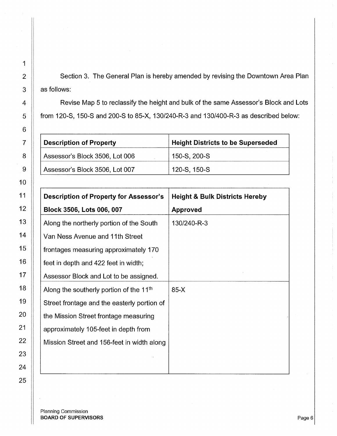2  $\parallel$  Section 3. The General Plan is hereby amended by revising the Downtown Area Plan  $3 \parallel$  as follows:

4  $\parallel$  Revise Map 5 to reclassify the height and bulk of the same Assessor's Block and Lots 5  $\parallel$  from 120-S, 150-S and 200-S to 85-X, 130/240-R-3 and 130/400-R-3 as described below:

| <b>Description of Property</b> | <b>Height Districts to be Superseded</b> |
|--------------------------------|------------------------------------------|
| Assessor's Block 3506, Lot 006 | , 150-S, 200-S                           |
| Assessor's Block 3506, Lot 007 | , 120-S, 150-S                           |

| <b>Description of Property for Assessor's</b> | <b>Height &amp; Bulk Districts Hereby</b> |
|-----------------------------------------------|-------------------------------------------|
| Block 3506, Lots 006, 007                     | <b>Approved</b>                           |
| Along the northerly portion of the South      | 130/240-R-3                               |
| Van Ness Avenue and 11th Street               |                                           |
| frontages measuring approximately 170         |                                           |
| feet in depth and 422 feet in width;          |                                           |
| Assessor Block and Lot to be assigned.        |                                           |
| Along the southerly portion of the $11th$     | $85-X$                                    |
| Street frontage and the easterly portion of   |                                           |
| the Mission Street frontage measuring         |                                           |
| approximately 105-feet in depth from          |                                           |
| Mission Street and 156-feet in width along    |                                           |
|                                               |                                           |
|                                               |                                           |

Planning Commission BOARD OF SUPERVISORS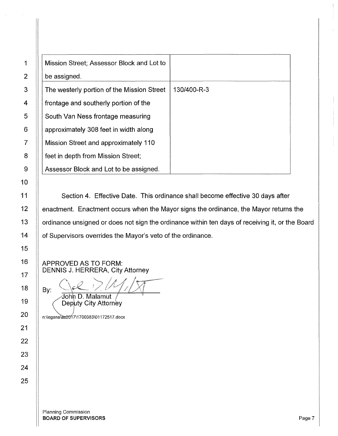| Mission Street; Assessor Block and Lot to  |             |
|--------------------------------------------|-------------|
| be assigned.                               |             |
| The westerly portion of the Mission Street | 130/400-R-3 |
| frontage and southerly portion of the      |             |
| South Van Ness frontage measuring          |             |
| approximately 308 feet in width along      |             |
| Mission Street and approximately 110       |             |
| feet in depth from Mission Street;         |             |
| Assessor Block and Lot to be assigned.     |             |

11 | Section 4. Effective Date. This ordinance shall become effective 30 days after 12 | enactment. Enactment occurs when the Mayor signs the ordinance, the Mayor returns the 13 | ordinance unsigned or does not sign the ordinance within ten days of receiving it, or the Board 14 | of Supervisors overrides the Mayor's veto of the ordinance.

APPROVED AS TO FORM: DENNIS J. HERRERA, City Attorney

By: John D. Malamut

Deputy City Attorney

n:\legana\as2017\1700383\01172517.docx

1

2

3

4

5

6

7